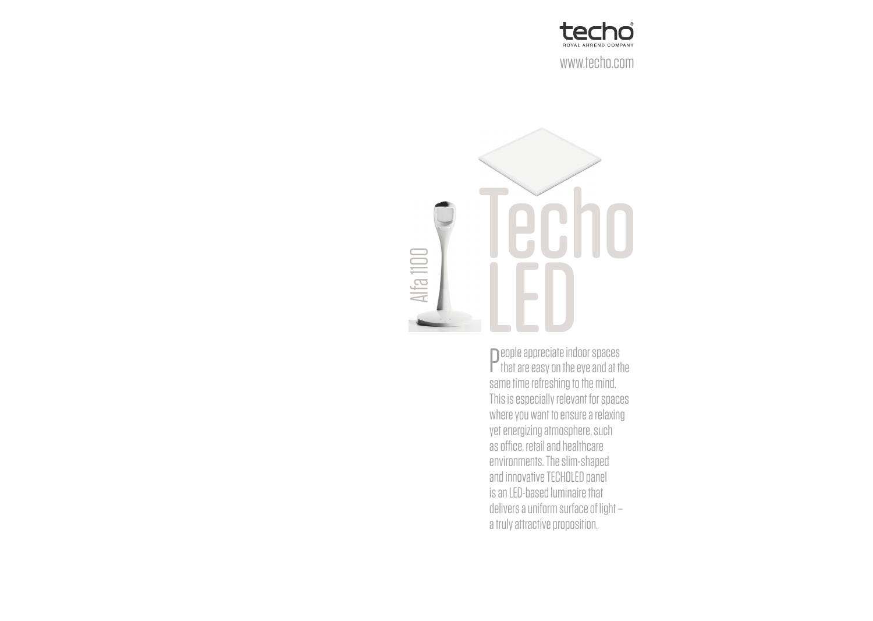



**P** eople appreciate indoor spaces<br>that are easy on the eye and at t  $\mathsf F$  that are easy on the eye and at the same time refreshing to the mind. This is especially relevant for spaces where you want to ensure a relaxing yet energizing atmosphere, such as office, retail and healthcare environments. The slim-shaped and innovative TECHOLED panel is an LED-based luminaire that delivers a uniform surface of light – a truly attractive proposition.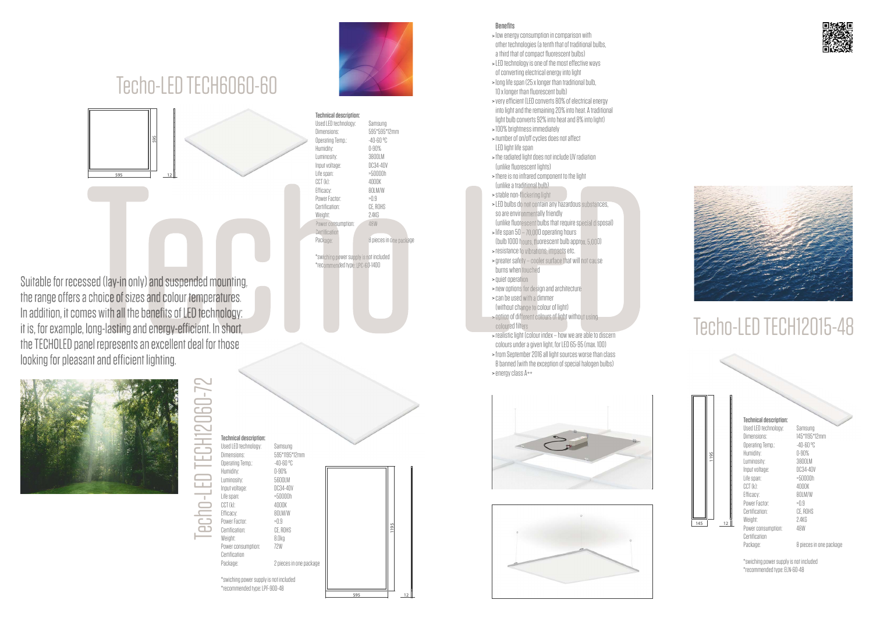

## Techo-LED TECH12015-48

**Technical description:** Used LED technology: Samsung Dimensions: 145\*1195\*12mm<br>Operating Temp.: 40-60 °C Operating Temp. Humidity: 0-90% Luminosity: 3800LM Input voltage: DC34-40V Life span: >50000h  $CCT (k)$ : Efficacy: 80LM/W Power Factor: >0.9 Certification: CE, ROHS Weight: 2.4KG Power consumption: 48W Certification

Package: 8 pieces in one package

\*swiching power supply is not included \*recommended type: ELN-60-48

### >**Benefits**

- >low energy consumption in comparison with other technologies (a tenth that of traditional bulbs, a third that of compact fluorescent bulbs)
- >LED technology is one of the most effective ways of converting electrical energy into light >long life span (25 x longer than traditional bulb,
- 10 x longer than fluorescent bulb)
- >very efficient (LED converts 80% of electrical energy into light and the remaining 20% into heat. A traditional light bulb converts 92% into heat and 8% into light) >100% brightness immediately
- >number of on/off cycles does not affect LED light life span
- >the radiated light does not include UV radiation (unlike fluorescent lights)
- >there is no infrared component to the light (unlike a traditional bulb)
- >stable non-flickering light
- >LED bulbs do not contain any hazardous substances, so are environmentally friendly
- (unlike fluorescent bulbs that require special disposal) >life span 50 – 70,000 operating hours
- (bulb 1000 hours, fluorescent bulb approx. 5,000) >resistance to vibrations, impacts etc.
- >greater safety cooler surface that will not cause burns when touched
- >quiet operation
- >new options for design and architecture
- >can be used with a dimmer (without change to colour of light)
- >option of different colours of light without using coloured filters
- >realistic light (colour index how we are able to discern colours under a given light, for LED 65-95 (max. 100)
- >from September 2016 all light sources worse than class B banned (with the exception of special halogen bulbs) >energy class A++











## Techo-LED TECH6060-60

Techo-LED TECH12060-72

echo-LED

TECH12060-7

**Technical description:**

Suitable for recessed (lay-in only) and suspended mounting, the range offers a choice of sizes and colour temperatures. In addition, it comes with all the benefits of LED technology: it is, for example, long-lasting and energy-efficient. In short, the TECHOLED panel represents an excellent deal for those looking for pleasant and efficient lighting.



| Used LED technology:                   | Samsung                 |
|----------------------------------------|-------------------------|
| Dimensions:                            | 595*595*12mm            |
| Operating Temp.:                       | -40-60 °C               |
| Humidity:                              | 0-90%                   |
| Luminosity:                            | 3800LM                  |
| Input voltage:                         | DC34-40V                |
| Life span:                             | >50000h                 |
| CCT(k)                                 | 4000K                   |
| Efficacy:                              | 80LM/W                  |
| Power Factor:                          | >0.9                    |
| Certification:                         | CE. ROHS                |
| Weight:                                | 2.4KG                   |
| Power consumption:                     | 48W                     |
| Certification                          |                         |
| Package:                               | 8 pieces in one package |
|                                        |                         |
| *swiching power supply is not included |                         |
|                                        |                         |

\*recommended type: LPC-60-1400

| <b>Technical description:</b>          |                         |     |      |
|----------------------------------------|-------------------------|-----|------|
| Used LED technology:                   | Samsung                 |     |      |
| Dimensions:                            | 595*1195*12mm           |     |      |
| Operating Temp.:                       | $-40-60$ °C             |     |      |
| Humiditv:                              | 0-90%                   |     |      |
| Luminosity:                            | 5600LM                  |     |      |
| Input voltage:                         | DC34-40V                |     |      |
| Life span:                             | >50000h                 |     |      |
| CCT (k):                               | 4000K                   |     |      |
| Efficacy:                              | <b>ROLM/W</b>           |     |      |
| Power Factor:                          | >0.9                    |     |      |
| Certification:                         | CE, ROHS                |     | 1105 |
| Weight:                                | 8.Oka                   |     |      |
| Power consumption:                     | 72W                     |     |      |
| Certification                          |                         |     |      |
| Package:                               | 2 pieces in one package |     |      |
|                                        |                         |     |      |
| *swiching power supply is not included |                         |     |      |
| *recommended type: LPF-90D-48          |                         |     |      |
|                                        |                         | 595 |      |



| ìM        |     |      |    |
|-----------|-----|------|----|
| e package |     | 1195 |    |
|           | 595 |      | 12 |